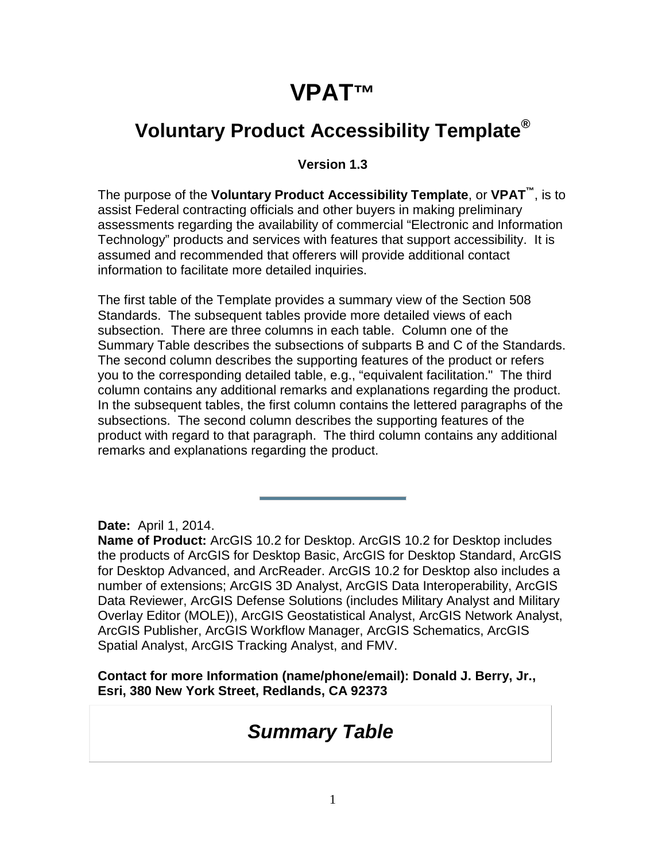### **VPAT™**

#### **Voluntary Product Accessibility Template®**

#### **Version 1.3**

The purpose of the **Voluntary Product Accessibility Template**, or **VPAT™**, is to assist Federal contracting officials and other buyers in making preliminary assessments regarding the availability of commercial "Electronic and Information Technology" products and services with features that support accessibility. It is assumed and recommended that offerers will provide additional contact information to facilitate more detailed inquiries.

The first table of the Template provides a summary view of the Section 508 Standards. The subsequent tables provide more detailed views of each subsection. There are three columns in each table. Column one of the Summary Table describes the subsections of subparts B and C of the Standards. The second column describes the supporting features of the product or refers you to the corresponding detailed table, e.g., "equivalent facilitation." The third column contains any additional remarks and explanations regarding the product. In the subsequent tables, the first column contains the lettered paragraphs of the subsections. The second column describes the supporting features of the product with regard to that paragraph. The third column contains any additional remarks and explanations regarding the product.

**Date:** April 1, 2014.

**Name of Product:** ArcGIS 10.2 for Desktop. ArcGIS 10.2 for Desktop includes the products of ArcGIS for Desktop Basic, ArcGIS for Desktop Standard, ArcGIS for Desktop Advanced, and ArcReader. ArcGIS 10.2 for Desktop also includes a number of extensions; ArcGIS 3D Analyst, ArcGIS Data Interoperability, ArcGIS Data Reviewer, ArcGIS Defense Solutions (includes Military Analyst and Military Overlay Editor (MOLE)), ArcGIS Geostatistical Analyst, ArcGIS Network Analyst, ArcGIS Publisher, ArcGIS Workflow Manager, ArcGIS Schematics, ArcGIS Spatial Analyst, ArcGIS Tracking Analyst, and FMV.

**Contact for more Information (name/phone/email): Donald J. Berry, Jr., Esri, 380 New York Street, Redlands, CA 92373**

#### *Summary Table*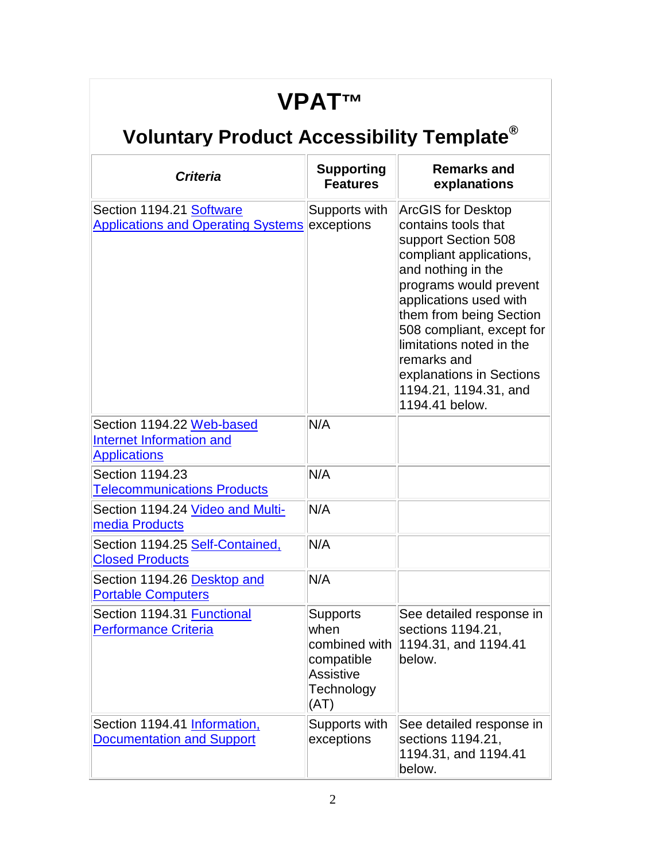### **VPAT™**

| <b>Criteria</b>                                                                  | <b>Supporting</b><br><b>Features</b>                                                      | <b>Remarks and</b><br>explanations                                                                                                                                                                                                                                                                                                                     |
|----------------------------------------------------------------------------------|-------------------------------------------------------------------------------------------|--------------------------------------------------------------------------------------------------------------------------------------------------------------------------------------------------------------------------------------------------------------------------------------------------------------------------------------------------------|
| Section 1194.21 Software<br><b>Applications and Operating Systems exceptions</b> | Supports with                                                                             | <b>ArcGIS for Desktop</b><br>contains tools that<br>support Section 508<br>compliant applications,<br>and nothing in the<br>programs would prevent<br>applications used with<br>them from being Section<br>508 compliant, except for<br>limitations noted in the<br>remarks and<br>explanations in Sections<br>1194.21, 1194.31, and<br>1194.41 below. |
| Section 1194.22 Web-based<br>Internet Information and<br><b>Applications</b>     | N/A                                                                                       |                                                                                                                                                                                                                                                                                                                                                        |
| Section 1194.23<br><b>Telecommunications Products</b>                            | N/A                                                                                       |                                                                                                                                                                                                                                                                                                                                                        |
| Section 1194.24 Video and Multi-<br>media Products                               | N/A                                                                                       |                                                                                                                                                                                                                                                                                                                                                        |
| Section 1194.25 Self-Contained,<br><b>Closed Products</b>                        | N/A                                                                                       |                                                                                                                                                                                                                                                                                                                                                        |
| Section 1194.26 Desktop and<br><b>Portable Computers</b>                         | N/A                                                                                       |                                                                                                                                                                                                                                                                                                                                                        |
| Section 1194.31 Functional<br><b>Performance Criteria</b>                        | <b>Supports</b><br>when<br>combined with<br>compatible<br>Assistive<br>Technology<br>(AT) | See detailed response in<br>sections 1194.21,<br>1194.31, and 1194.41<br>below.                                                                                                                                                                                                                                                                        |
| Section 1194.41 Information,<br><b>Documentation and Support</b>                 | Supports with<br>exceptions                                                               | See detailed response in<br>sections 1194.21,<br>1194.31, and 1194.41<br>below.                                                                                                                                                                                                                                                                        |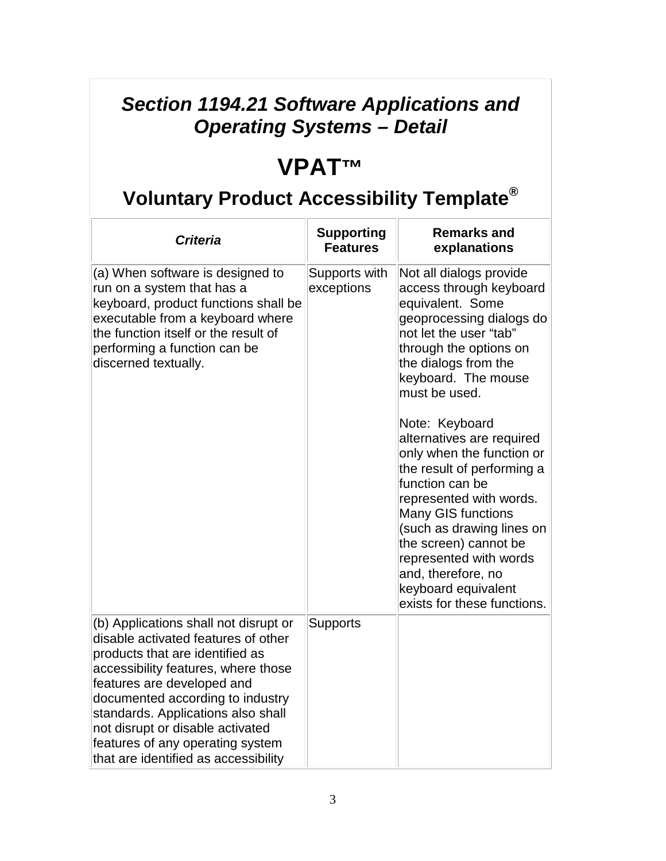#### *Section 1194.21 Software Applications and Operating Systems – Detail*

### **VPAT™**

| <b>Criteria</b>                                                                                                                                                                                                                                                                                                                                                                | <b>Supporting</b><br><b>Features</b> | <b>Remarks and</b><br>explanations                                                                                                                                                                                                                                                                                                                                                                                                                                                                                                                               |
|--------------------------------------------------------------------------------------------------------------------------------------------------------------------------------------------------------------------------------------------------------------------------------------------------------------------------------------------------------------------------------|--------------------------------------|------------------------------------------------------------------------------------------------------------------------------------------------------------------------------------------------------------------------------------------------------------------------------------------------------------------------------------------------------------------------------------------------------------------------------------------------------------------------------------------------------------------------------------------------------------------|
| (a) When software is designed to<br>run on a system that has a<br>keyboard, product functions shall be<br>executable from a keyboard where<br>the function itself or the result of<br>performing a function can be<br>discerned textually.                                                                                                                                     | Supports with<br>exceptions          | Not all dialogs provide<br>access through keyboard<br>equivalent. Some<br>geoprocessing dialogs do<br>not let the user "tab"<br>through the options on<br>the dialogs from the<br>keyboard. The mouse<br>must be used.<br>Note: Keyboard<br>alternatives are required<br>only when the function or<br>the result of performing a<br>function can be<br>represented with words.<br>Many GIS functions<br>(such as drawing lines on<br>the screen) cannot be<br>represented with words<br>and, therefore, no<br>keyboard equivalent<br>exists for these functions. |
| (b) Applications shall not disrupt or<br>disable activated features of other<br>products that are identified as<br>accessibility features, where those<br>features are developed and<br>documented according to industry<br>standards. Applications also shall<br>not disrupt or disable activated<br>features of any operating system<br>that are identified as accessibility | <b>Supports</b>                      |                                                                                                                                                                                                                                                                                                                                                                                                                                                                                                                                                                  |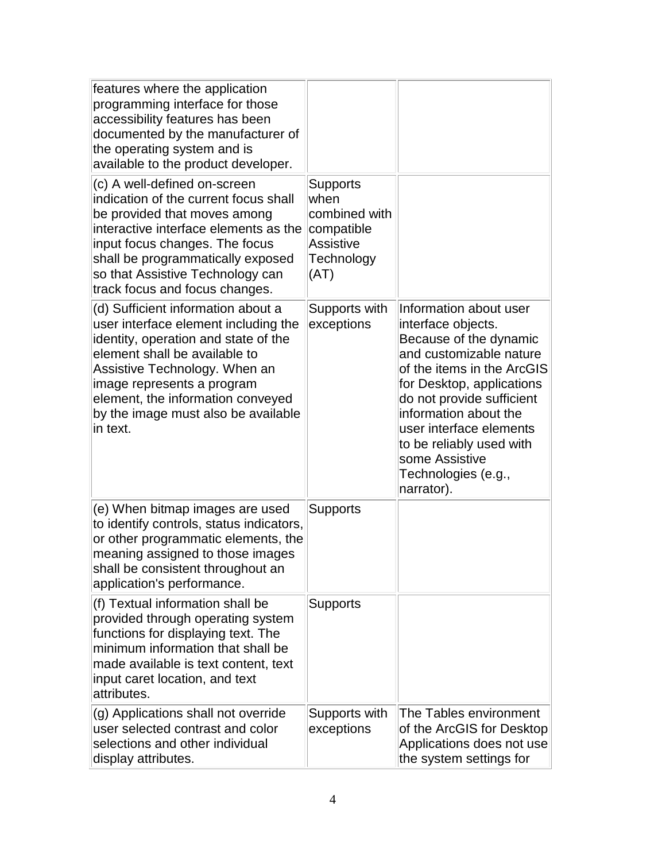| features where the application<br>programming interface for those<br>accessibility features has been<br>documented by the manufacturer of<br>the operating system and is<br>available to the product developer.                                                                                            |                                                                                    |                                                                                                                                                                                                                                                                                                                                  |
|------------------------------------------------------------------------------------------------------------------------------------------------------------------------------------------------------------------------------------------------------------------------------------------------------------|------------------------------------------------------------------------------------|----------------------------------------------------------------------------------------------------------------------------------------------------------------------------------------------------------------------------------------------------------------------------------------------------------------------------------|
| (c) A well-defined on-screen<br>indication of the current focus shall<br>be provided that moves among<br>interactive interface elements as the<br>input focus changes. The focus<br>shall be programmatically exposed<br>so that Assistive Technology can<br>track focus and focus changes.                | Supports<br>when<br>combined with<br>compatible<br>Assistive<br>Technology<br>(AT) |                                                                                                                                                                                                                                                                                                                                  |
| (d) Sufficient information about a<br>user interface element including the<br>identity, operation and state of the<br>element shall be available to<br>Assistive Technology. When an<br>image represents a program<br>element, the information conveyed<br>by the image must also be available<br>in text. | Supports with<br>exceptions                                                        | Information about user<br>interface objects.<br>Because of the dynamic<br>and customizable nature<br>of the items in the ArcGIS<br>for Desktop, applications<br>do not provide sufficient<br>information about the<br>user interface elements<br>to be reliably used with<br>some Assistive<br>Technologies (e.g.,<br>narrator). |
| (e) When bitmap images are used<br>to identify controls, status indicators,<br>or other programmatic elements, the<br>meaning assigned to those images<br>shall be consistent throughout an<br>application's performance.                                                                                  | <b>Supports</b>                                                                    |                                                                                                                                                                                                                                                                                                                                  |
| (f) Textual information shall be<br>provided through operating system<br>functions for displaying text. The<br>minimum information that shall be<br>made available is text content, text<br>input caret location, and text<br>attributes.                                                                  | <b>Supports</b>                                                                    |                                                                                                                                                                                                                                                                                                                                  |
| (g) Applications shall not override<br>user selected contrast and color<br>selections and other individual<br>display attributes.                                                                                                                                                                          | Supports with<br>exceptions                                                        | The Tables environment<br>of the ArcGIS for Desktop<br>Applications does not use<br>the system settings for                                                                                                                                                                                                                      |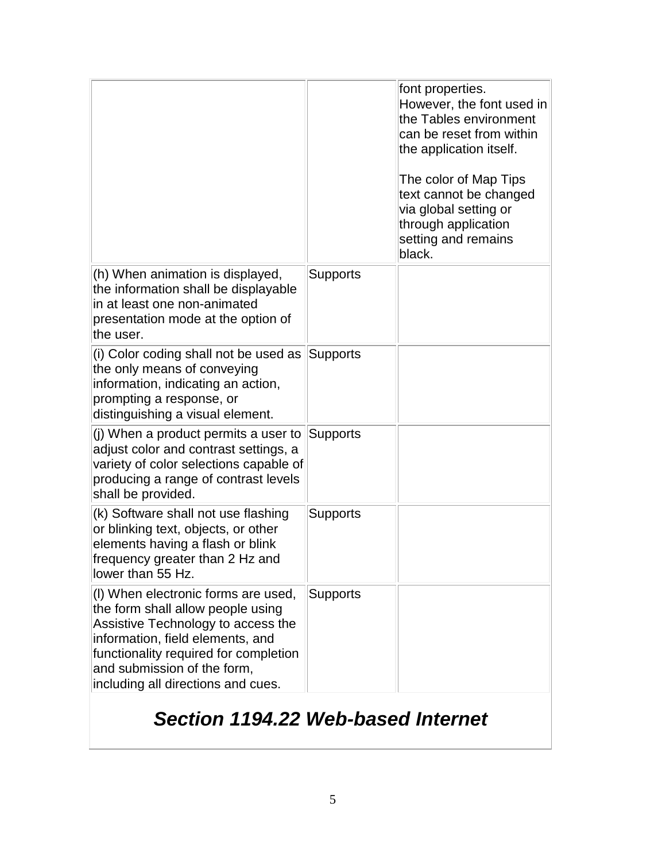|                                                                                                                                                                                                                                                                  |                 | font properties.<br>However, the font used in<br>the Tables environment<br>can be reset from within<br>the application itself.<br>The color of Map Tips<br>text cannot be changed<br>via global setting or<br>through application<br>setting and remains<br>black. |
|------------------------------------------------------------------------------------------------------------------------------------------------------------------------------------------------------------------------------------------------------------------|-----------------|--------------------------------------------------------------------------------------------------------------------------------------------------------------------------------------------------------------------------------------------------------------------|
| (h) When animation is displayed,<br>the information shall be displayable<br>in at least one non-animated<br>presentation mode at the option of<br>the user.                                                                                                      | <b>Supports</b> |                                                                                                                                                                                                                                                                    |
| (i) Color coding shall not be used as<br>the only means of conveying<br>information, indicating an action,<br>prompting a response, or<br>distinguishing a visual element.                                                                                       | Supports        |                                                                                                                                                                                                                                                                    |
| (j) When a product permits a user to<br>adjust color and contrast settings, a<br>variety of color selections capable of<br>producing a range of contrast levels<br>shall be provided.                                                                            | Supports        |                                                                                                                                                                                                                                                                    |
| (k) Software shall not use flashing<br>or blinking text, objects, or other<br>elements having a flash or blink<br>frequency greater than 2 Hz and<br>lower than 55 Hz.                                                                                           | Supports        |                                                                                                                                                                                                                                                                    |
| (I) When electronic forms are used,<br>the form shall allow people using<br>Assistive Technology to access the<br>information, field elements, and<br>functionality required for completion<br>and submission of the form,<br>including all directions and cues. | <b>Supports</b> |                                                                                                                                                                                                                                                                    |

### *Section 1194.22 Web-based Internet*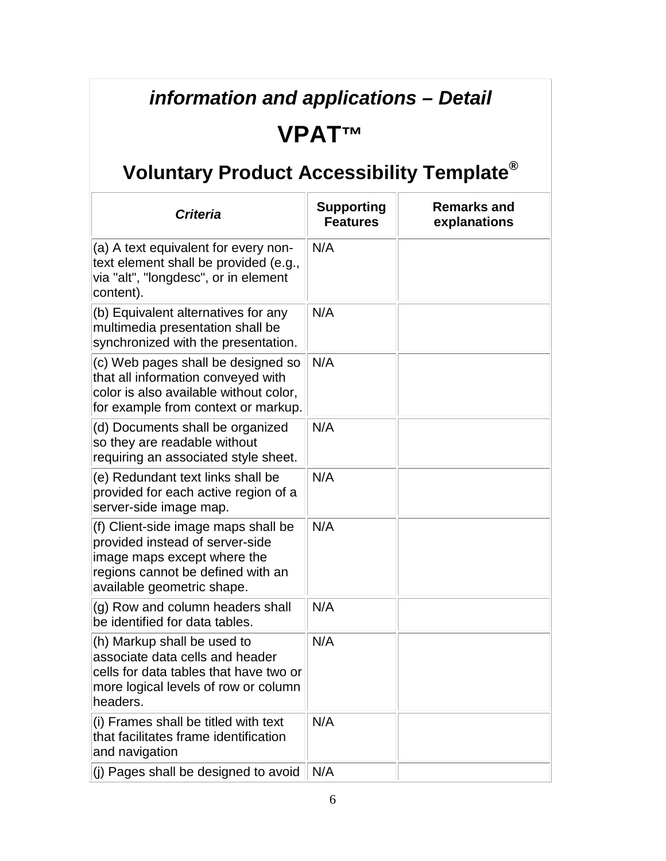#### *information and applications – Detail*

#### **VPAT™**

| <b>Criteria</b>                                                                                                                                                          | <b>Supporting</b><br><b>Features</b> | <b>Remarks and</b><br>explanations |
|--------------------------------------------------------------------------------------------------------------------------------------------------------------------------|--------------------------------------|------------------------------------|
| (a) A text equivalent for every non-<br>text element shall be provided (e.g.,<br>via "alt", "longdesc", or in element<br>content).                                       | N/A                                  |                                    |
| (b) Equivalent alternatives for any<br>multimedia presentation shall be<br>synchronized with the presentation.                                                           | N/A                                  |                                    |
| (c) Web pages shall be designed so<br>that all information conveyed with<br>color is also available without color,<br>for example from context or markup.                | N/A                                  |                                    |
| (d) Documents shall be organized<br>so they are readable without<br>requiring an associated style sheet.                                                                 | N/A                                  |                                    |
| (e) Redundant text links shall be<br>provided for each active region of a<br>server-side image map.                                                                      | N/A                                  |                                    |
| (f) Client-side image maps shall be<br>provided instead of server-side<br>image maps except where the<br>regions cannot be defined with an<br>available geometric shape. | N/A                                  |                                    |
| (g) Row and column headers shall<br>be identified for data tables.                                                                                                       | N/A                                  |                                    |
| (h) Markup shall be used to<br>associate data cells and header<br>cells for data tables that have two or<br>more logical levels of row or column<br>headers.             | N/A                                  |                                    |
| (i) Frames shall be titled with text<br>that facilitates frame identification<br>and navigation                                                                          | N/A                                  |                                    |
| (j) Pages shall be designed to avoid                                                                                                                                     | N/A                                  |                                    |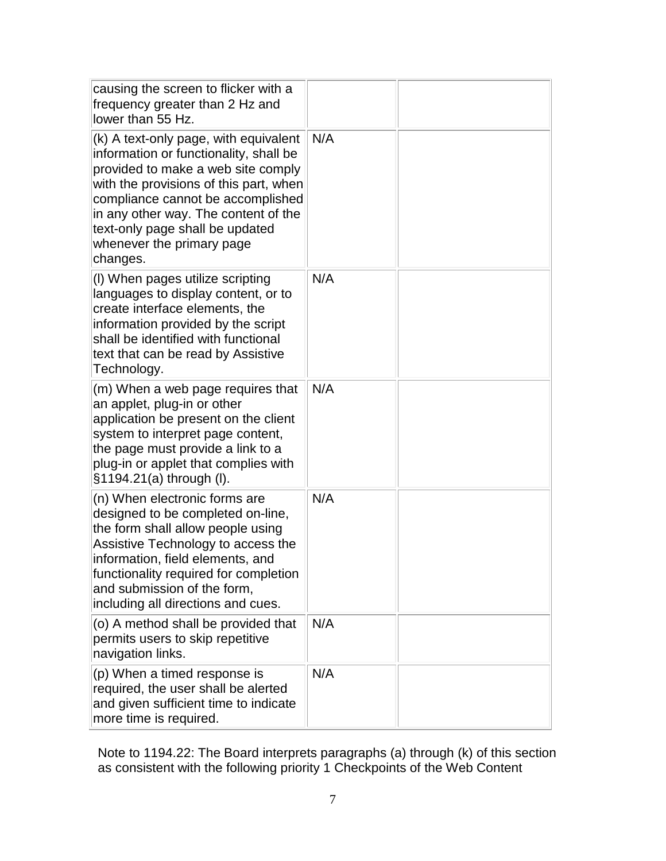| causing the screen to flicker with a<br>frequency greater than 2 Hz and<br>lower than 55 Hz.                                                                                                                                                                                                                             |     |  |
|--------------------------------------------------------------------------------------------------------------------------------------------------------------------------------------------------------------------------------------------------------------------------------------------------------------------------|-----|--|
| (k) A text-only page, with equivalent<br>information or functionality, shall be<br>provided to make a web site comply<br>with the provisions of this part, when<br>compliance cannot be accomplished<br>in any other way. The content of the<br>text-only page shall be updated<br>whenever the primary page<br>changes. | N/A |  |
| (I) When pages utilize scripting<br>languages to display content, or to<br>create interface elements, the<br>information provided by the script<br>shall be identified with functional<br>text that can be read by Assistive<br>Technology.                                                                              | N/A |  |
| (m) When a web page requires that<br>an applet, plug-in or other<br>application be present on the client<br>system to interpret page content,<br>the page must provide a link to a<br>plug-in or applet that complies with<br>§1194.21(a) through (I).                                                                   | N/A |  |
| (n) When electronic forms are<br>designed to be completed on-line,<br>the form shall allow people using<br>Assistive Technology to access the<br>information, field elements, and<br>functionality required for completion<br>and submission of the form,<br>including all directions and cues.                          | N/A |  |
| (o) A method shall be provided that<br>permits users to skip repetitive<br>navigation links.                                                                                                                                                                                                                             | N/A |  |
| (p) When a timed response is<br>required, the user shall be alerted<br>and given sufficient time to indicate<br>more time is required.                                                                                                                                                                                   | N/A |  |

Note to 1194.22: The Board interprets paragraphs (a) through (k) of this section as consistent with the following priority 1 Checkpoints of the Web Content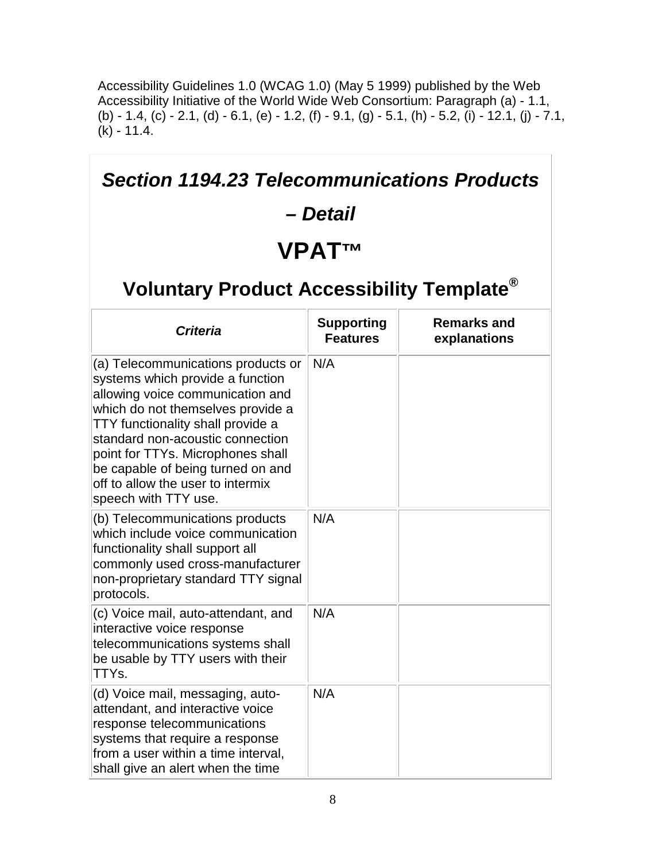Accessibility Guidelines 1.0 (WCAG 1.0) (May 5 1999) published by the Web Accessibility Initiative of the World Wide Web Consortium: Paragraph (a) - 1.1, (b) - 1.4, (c) - 2.1, (d) - 6.1, (e) - 1.2, (f) - 9.1, (g) - 5.1, (h) - 5.2, (i) - 12.1, (j) - 7.1,  $(k) - 11.4.$ 

| <b>Section 1194.23 Telecommunications Products</b><br>– Detail<br><b>VPATTM</b><br>Voluntary Product Accessibility Template <sup>®</sup>                                                                                                                                                                                                                        |                                      |                                    |
|-----------------------------------------------------------------------------------------------------------------------------------------------------------------------------------------------------------------------------------------------------------------------------------------------------------------------------------------------------------------|--------------------------------------|------------------------------------|
| <b>Criteria</b>                                                                                                                                                                                                                                                                                                                                                 | <b>Supporting</b><br><b>Features</b> | <b>Remarks and</b><br>explanations |
| (a) Telecommunications products or<br>systems which provide a function<br>allowing voice communication and<br>which do not themselves provide a<br>TTY functionality shall provide a<br>standard non-acoustic connection<br>point for TTYs. Microphones shall<br>be capable of being turned on and<br>off to allow the user to intermix<br>speech with TTY use. | N/A                                  |                                    |
| (b) Telecommunications products<br>which include voice communication<br>functionality shall support all<br>commonly used cross-manufacturer<br>non-proprietary standard TTY signal<br>protocols.                                                                                                                                                                | N/A                                  |                                    |
| (c) Voice mail, auto-attendant, and<br>interactive voice response<br>telecommunications systems shall<br>be usable by TTY users with their<br>TTYs.                                                                                                                                                                                                             | N/A                                  |                                    |
| (d) Voice mail, messaging, auto-<br>attendant, and interactive voice<br>response telecommunications<br>systems that require a response<br>from a user within a time interval,<br>shall give an alert when the time                                                                                                                                              | N/A                                  |                                    |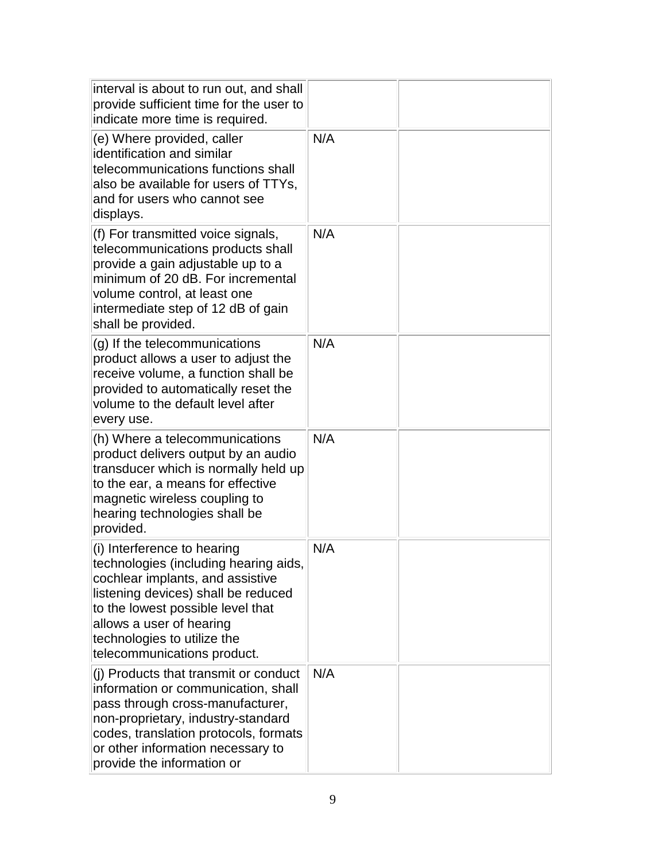| interval is about to run out, and shall<br>provide sufficient time for the user to<br>indicate more time is required.                                                                                                                                                          |     |  |
|--------------------------------------------------------------------------------------------------------------------------------------------------------------------------------------------------------------------------------------------------------------------------------|-----|--|
| (e) Where provided, caller<br>lidentification and similar<br>telecommunications functions shall<br>also be available for users of TTYs,<br>and for users who cannot see<br>displays.                                                                                           | N/A |  |
| (f) For transmitted voice signals,<br>telecommunications products shall<br>provide a gain adjustable up to a<br>minimum of 20 dB. For incremental<br>volume control, at least one<br>intermediate step of 12 dB of gain<br>shall be provided.                                  | N/A |  |
| (g) If the telecommunications<br>product allows a user to adjust the<br>receive volume, a function shall be<br>provided to automatically reset the<br>volume to the default level after<br>every use.                                                                          | N/A |  |
| (h) Where a telecommunications<br>product delivers output by an audio<br>transducer which is normally held up<br>to the ear, a means for effective<br>magnetic wireless coupling to<br>hearing technologies shall be<br>provided.                                              | N/A |  |
| (i) Interference to hearing<br>technologies (including hearing aids,<br>cochlear implants, and assistive<br>listening devices) shall be reduced<br>to the lowest possible level that<br>allows a user of hearing<br>technologies to utilize the<br>telecommunications product. | N/A |  |
| (j) Products that transmit or conduct<br>information or communication, shall<br>pass through cross-manufacturer,<br>non-proprietary, industry-standard<br>codes, translation protocols, formats<br>or other information necessary to<br>provide the information or             | N/A |  |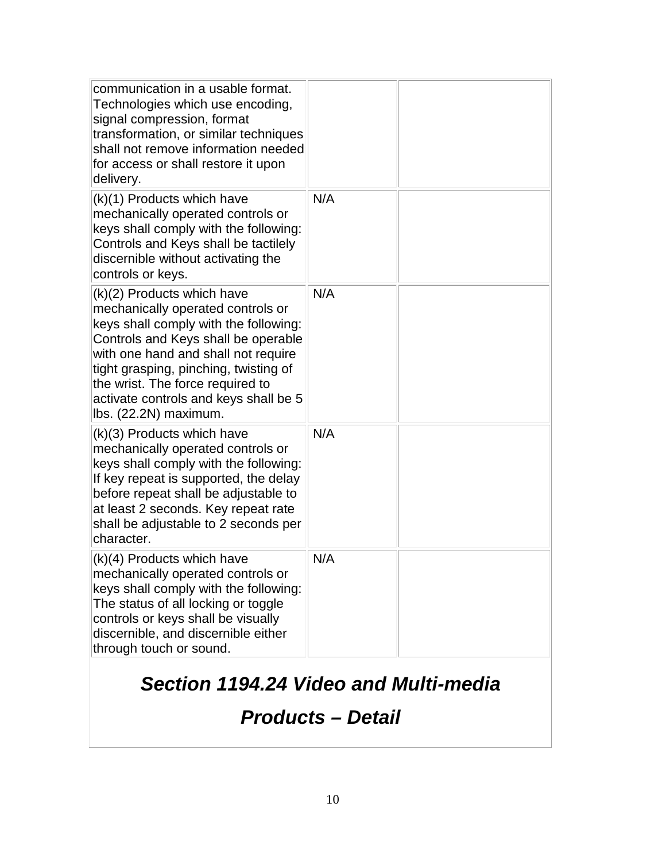| communication in a usable format.<br>Technologies which use encoding,<br>signal compression, format<br>transformation, or similar techniques<br>shall not remove information needed<br>for access or shall restore it upon<br>delivery.                                                                                               |     |  |
|---------------------------------------------------------------------------------------------------------------------------------------------------------------------------------------------------------------------------------------------------------------------------------------------------------------------------------------|-----|--|
| (k)(1) Products which have<br>mechanically operated controls or<br>keys shall comply with the following:<br>Controls and Keys shall be tactilely<br>discernible without activating the<br>controls or keys.                                                                                                                           | N/A |  |
| (k)(2) Products which have<br>mechanically operated controls or<br>keys shall comply with the following:<br>Controls and Keys shall be operable<br>with one hand and shall not require<br>tight grasping, pinching, twisting of<br>the wrist. The force required to<br>activate controls and keys shall be 5<br>lbs. (22.2N) maximum. | N/A |  |
| (k)(3) Products which have<br>mechanically operated controls or<br>keys shall comply with the following:<br>If key repeat is supported, the delay<br>before repeat shall be adjustable to<br>at least 2 seconds. Key repeat rate<br>shall be adjustable to 2 seconds per<br>character.                                                | N/A |  |
| (k)(4) Products which have<br>mechanically operated controls or<br>keys shall comply with the following:<br>The status of all locking or toggle<br>controls or keys shall be visually<br>discernible, and discernible either<br>through touch or sound.                                                                               | N/A |  |

### *Section 1194.24 Video and Multi-media*

#### *Products – Detail*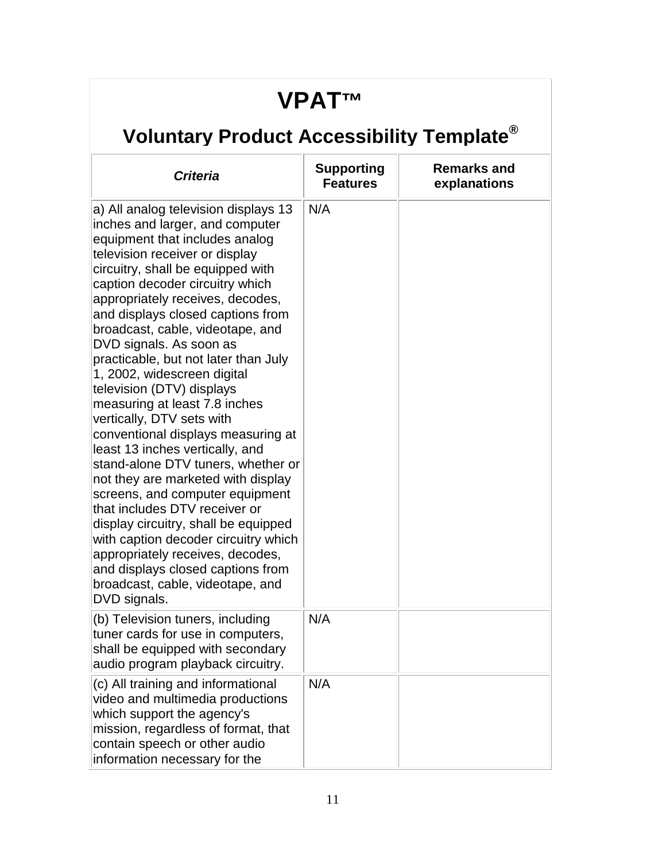### **VPAT™**

| <b>Criteria</b>                                                                                                                                                                                                                                                                                                                                                                                                                                                                                                                                                                                                                                                                                                                                                                                                                                                                                                                                                     | <b>Supporting</b><br><b>Features</b> | <b>Remarks and</b><br>explanations |
|---------------------------------------------------------------------------------------------------------------------------------------------------------------------------------------------------------------------------------------------------------------------------------------------------------------------------------------------------------------------------------------------------------------------------------------------------------------------------------------------------------------------------------------------------------------------------------------------------------------------------------------------------------------------------------------------------------------------------------------------------------------------------------------------------------------------------------------------------------------------------------------------------------------------------------------------------------------------|--------------------------------------|------------------------------------|
| a) All analog television displays 13<br>inches and larger, and computer<br>equipment that includes analog<br>television receiver or display<br>circuitry, shall be equipped with<br>caption decoder circuitry which<br>appropriately receives, decodes,<br>and displays closed captions from<br>broadcast, cable, videotape, and<br>DVD signals. As soon as<br>practicable, but not later than July<br>1, 2002, widescreen digital<br>television (DTV) displays<br>measuring at least 7.8 inches<br>vertically, DTV sets with<br>conventional displays measuring at<br>least 13 inches vertically, and<br>stand-alone DTV tuners, whether or<br>not they are marketed with display<br>screens, and computer equipment<br>that includes DTV receiver or<br>display circuitry, shall be equipped<br>with caption decoder circuitry which<br>appropriately receives, decodes,<br>and displays closed captions from<br>broadcast, cable, videotape, and<br>DVD signals. | N/A                                  |                                    |
| (b) Television tuners, including<br>tuner cards for use in computers,<br>shall be equipped with secondary<br>audio program playback circuitry.                                                                                                                                                                                                                                                                                                                                                                                                                                                                                                                                                                                                                                                                                                                                                                                                                      | N/A                                  |                                    |
| (c) All training and informational<br>video and multimedia productions<br>which support the agency's<br>mission, regardless of format, that<br>contain speech or other audio<br>information necessary for the                                                                                                                                                                                                                                                                                                                                                                                                                                                                                                                                                                                                                                                                                                                                                       | N/A                                  |                                    |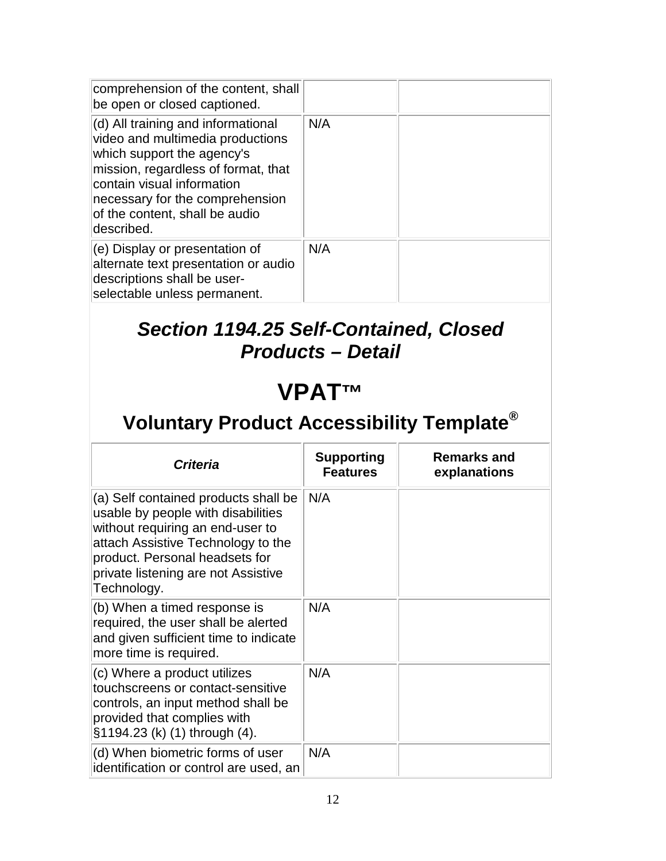| comprehension of the content, shall<br>be open or closed captioned.                                                                                                                                                                                          |     |  |
|--------------------------------------------------------------------------------------------------------------------------------------------------------------------------------------------------------------------------------------------------------------|-----|--|
| (d) All training and informational<br>video and multimedia productions<br>which support the agency's<br>mission, regardless of format, that<br>contain visual information<br>necessary for the comprehension<br>of the content, shall be audio<br>described. | N/A |  |
| $(e)$ Display or presentation of<br>alternate text presentation or audio<br>descriptions shall be user-<br>selectable unless permanent.                                                                                                                      | N/A |  |

#### *Section 1194.25 Self-Contained, Closed Products – Detail*

#### **VPAT™**

| <b>Criteria</b>                                                                                                                                                                                                                              | <b>Supporting</b><br><b>Features</b> | <b>Remarks and</b><br>explanations |
|----------------------------------------------------------------------------------------------------------------------------------------------------------------------------------------------------------------------------------------------|--------------------------------------|------------------------------------|
| (a) Self contained products shall be<br>usable by people with disabilities<br>without requiring an end-user to<br>attach Assistive Technology to the<br>product. Personal headsets for<br>private listening are not Assistive<br>Technology. | N/A                                  |                                    |
| (b) When a timed response is<br>required, the user shall be alerted<br>and given sufficient time to indicate<br>more time is required.                                                                                                       | N/A                                  |                                    |
| (c) Where a product utilizes<br>touchscreens or contact-sensitive<br>controls, an input method shall be<br>provided that complies with<br>§1194.23 (k) (1) through (4).                                                                      | N/A                                  |                                    |
| (d) When biometric forms of user<br>identification or control are used, an                                                                                                                                                                   | N/A                                  |                                    |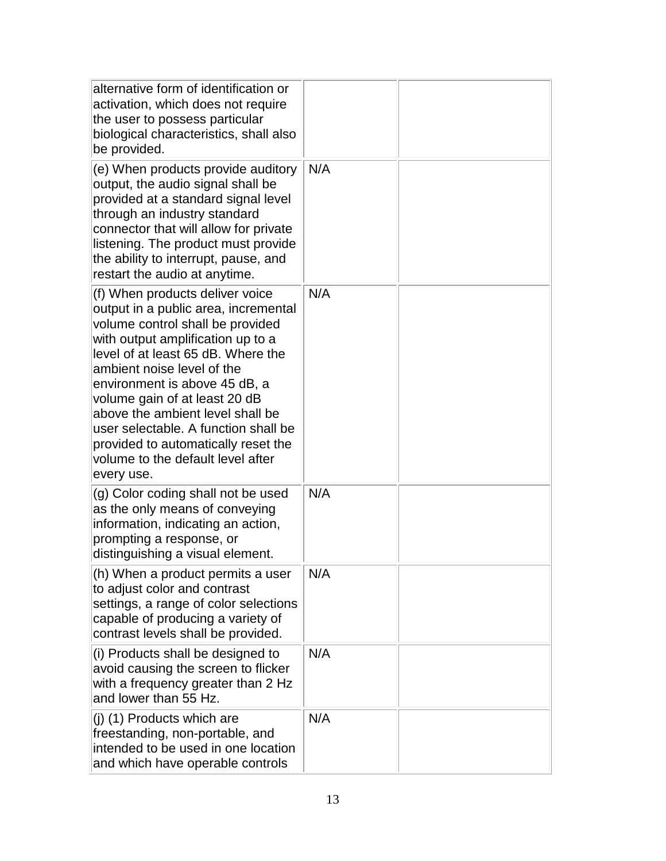| alternative form of identification or<br>activation, which does not require<br>the user to possess particular<br>biological characteristics, shall also<br>be provided.                                                                                                                                                                                                                                                                                      |     |  |
|--------------------------------------------------------------------------------------------------------------------------------------------------------------------------------------------------------------------------------------------------------------------------------------------------------------------------------------------------------------------------------------------------------------------------------------------------------------|-----|--|
| (e) When products provide auditory<br>output, the audio signal shall be<br>provided at a standard signal level<br>through an industry standard<br>connector that will allow for private<br>listening. The product must provide<br>the ability to interrupt, pause, and<br>restart the audio at anytime.                                                                                                                                                      | N/A |  |
| (f) When products deliver voice<br>output in a public area, incremental<br>volume control shall be provided<br>with output amplification up to a<br>level of at least 65 dB. Where the<br>ambient noise level of the<br>environment is above 45 dB, a<br>volume gain of at least 20 dB<br>above the ambient level shall be<br>user selectable. A function shall be<br>provided to automatically reset the<br>volume to the default level after<br>every use. | N/A |  |
| (g) Color coding shall not be used<br>as the only means of conveying<br>information, indicating an action,<br>prompting a response, or<br>distinguishing a visual element.                                                                                                                                                                                                                                                                                   | N/A |  |
| (h) When a product permits a user<br>to adjust color and contrast<br>settings, a range of color selections<br>capable of producing a variety of<br>contrast levels shall be provided.                                                                                                                                                                                                                                                                        | N/A |  |
| (i) Products shall be designed to<br>avoid causing the screen to flicker<br>with a frequency greater than 2 Hz<br>and lower than 55 Hz.                                                                                                                                                                                                                                                                                                                      | N/A |  |
| (j) (1) Products which are<br>freestanding, non-portable, and<br>intended to be used in one location<br>and which have operable controls                                                                                                                                                                                                                                                                                                                     | N/A |  |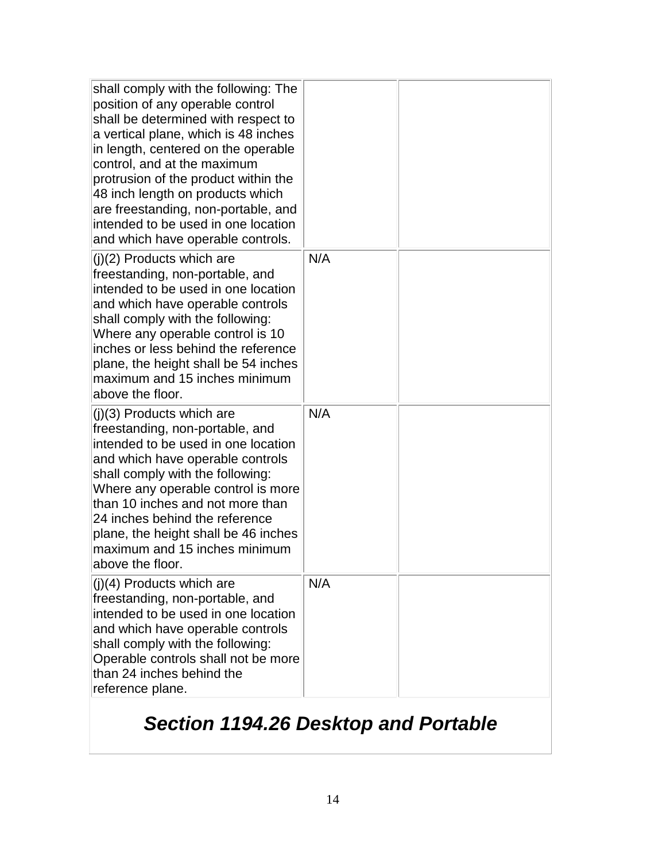| shall comply with the following: The<br>position of any operable control<br>shall be determined with respect to<br>a vertical plane, which is 48 inches<br>in length, centered on the operable<br>control, and at the maximum<br>protrusion of the product within the<br>48 inch length on products which<br>are freestanding, non-portable, and<br>intended to be used in one location<br>and which have operable controls. |     |  |
|------------------------------------------------------------------------------------------------------------------------------------------------------------------------------------------------------------------------------------------------------------------------------------------------------------------------------------------------------------------------------------------------------------------------------|-----|--|
| $(j)(2)$ Products which are<br>freestanding, non-portable, and<br>intended to be used in one location<br>and which have operable controls<br>shall comply with the following:<br>Where any operable control is 10<br>inches or less behind the reference<br>plane, the height shall be 54 inches<br>maximum and 15 inches minimum<br>above the floor.                                                                        | N/A |  |
| $(j)(3)$ Products which are<br>freestanding, non-portable, and<br>intended to be used in one location<br>and which have operable controls<br>shall comply with the following:<br>Where any operable control is more<br>than 10 inches and not more than<br>24 inches behind the reference<br>plane, the height shall be 46 inches<br>maximum and 15 inches minimum<br>above the floor.                                       | N/A |  |
| $(j)(4)$ Products which are<br>freestanding, non-portable, and<br>intended to be used in one location<br>and which have operable controls<br>shall comply with the following:<br>Operable controls shall not be more<br>than 24 inches behind the<br>reference plane.                                                                                                                                                        | N/A |  |

### *Section 1194.26 Desktop and Portable*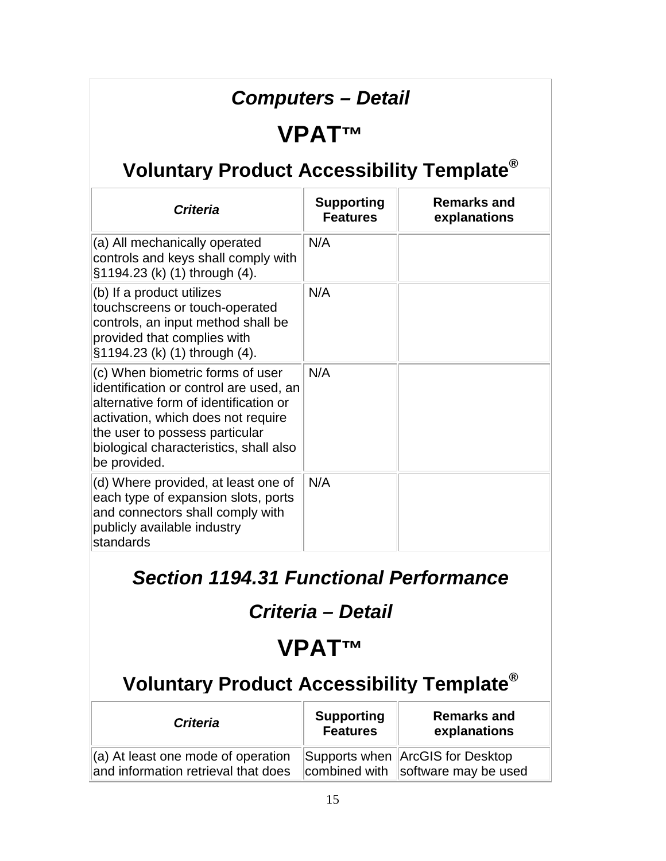#### *Computers – Detail*

#### **VPAT™**

### **Voluntary Product Accessibility Template®**

| <b>Criteria</b>                                                                                                                                                                                                                                       | <b>Supporting</b><br><b>Features</b> | <b>Remarks and</b><br>explanations |
|-------------------------------------------------------------------------------------------------------------------------------------------------------------------------------------------------------------------------------------------------------|--------------------------------------|------------------------------------|
| (a) All mechanically operated<br>controls and keys shall comply with<br>§1194.23 (k) (1) through (4).                                                                                                                                                 | N/A                                  |                                    |
| (b) If a product utilizes<br>touchscreens or touch-operated<br>controls, an input method shall be<br>provided that complies with<br>§1194.23 (k) (1) through (4).                                                                                     | N/A                                  |                                    |
| (c) When biometric forms of user<br>identification or control are used, an<br>alternative form of identification or<br>activation, which does not require<br>the user to possess particular<br>biological characteristics, shall also<br>be provided. | N/A                                  |                                    |
| (d) Where provided, at least one of<br>each type of expansion slots, ports<br>and connectors shall comply with<br>publicly available industry<br>standards                                                                                            | N/A                                  |                                    |

#### *Section 1194.31 Functional Performance*

#### *Criteria – Detail*

### **VPAT™**

| <b>Criteria</b>                                                                       | <b>Supporting</b><br><b>Features</b> | <b>Remarks and</b><br>explanations                                     |
|---------------------------------------------------------------------------------------|--------------------------------------|------------------------------------------------------------------------|
| $\parallel$ (a) At least one mode of operation<br>and information retrieval that does |                                      | Supports when ArcGIS for Desktop<br>combined with software may be used |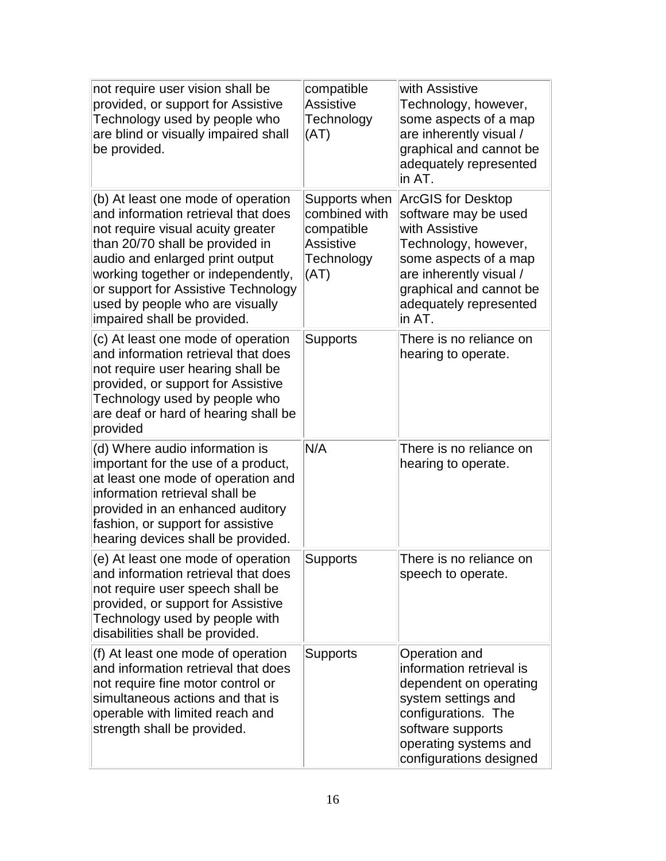| not require user vision shall be<br>provided, or support for Assistive<br>Technology used by people who<br>are blind or visually impaired shall<br>be provided.                                                                                                                                                                     | compatible<br><b>Assistive</b><br>Technology<br>(AT)                                   | with Assistive<br>Technology, however,<br>some aspects of a map<br>are inherently visual /<br>graphical and cannot be<br>adequately represented<br>lin AT.                                                     |
|-------------------------------------------------------------------------------------------------------------------------------------------------------------------------------------------------------------------------------------------------------------------------------------------------------------------------------------|----------------------------------------------------------------------------------------|----------------------------------------------------------------------------------------------------------------------------------------------------------------------------------------------------------------|
| (b) At least one mode of operation<br>and information retrieval that does<br>not require visual acuity greater<br>than 20/70 shall be provided in<br>audio and enlarged print output<br>working together or independently,<br>or support for Assistive Technology<br>used by people who are visually<br>impaired shall be provided. | Supports when<br>combined with<br>compatible<br><b>Assistive</b><br>Technology<br>(AT) | <b>ArcGIS for Desktop</b><br>software may be used<br>with Assistive<br>Technology, however,<br>some aspects of a map<br>are inherently visual /<br>graphical and cannot be<br>adequately represented<br>in AT. |
| (c) At least one mode of operation<br>and information retrieval that does<br>not require user hearing shall be<br>provided, or support for Assistive<br>Technology used by people who<br>are deaf or hard of hearing shall be<br>provided                                                                                           | <b>Supports</b>                                                                        | There is no reliance on<br>hearing to operate.                                                                                                                                                                 |
| (d) Where audio information is<br>important for the use of a product,<br>at least one mode of operation and<br>information retrieval shall be<br>provided in an enhanced auditory<br>fashion, or support for assistive<br>hearing devices shall be provided.                                                                        | N/A                                                                                    | There is no reliance on<br>hearing to operate.                                                                                                                                                                 |
| (e) At least one mode of operation<br>and information retrieval that does<br>not require user speech shall be<br>provided, or support for Assistive<br>Technology used by people with<br>disabilities shall be provided.                                                                                                            | <b>Supports</b>                                                                        | There is no reliance on<br>speech to operate.                                                                                                                                                                  |
| (f) At least one mode of operation<br>and information retrieval that does<br>not require fine motor control or<br>simultaneous actions and that is<br>operable with limited reach and<br>strength shall be provided.                                                                                                                | <b>Supports</b>                                                                        | Operation and<br>information retrieval is<br>dependent on operating<br>system settings and<br>configurations. The<br>software supports<br>operating systems and<br>configurations designed                     |